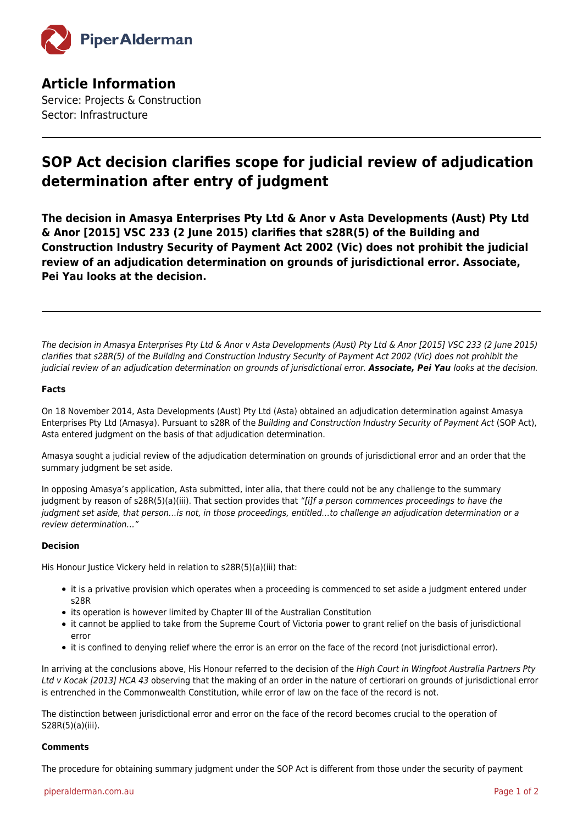

**Article Information** Service: Projects & Construction Sector: Infrastructure

## **SOP Act decision clarifies scope for judicial review of adjudication determination after entry of judgment**

**The decision in Amasya Enterprises Pty Ltd & Anor v Asta Developments (Aust) Pty Ltd & Anor [2015] VSC 233 (2 June 2015) clarifies that s28R(5) of the Building and Construction Industry Security of Payment Act 2002 (Vic) does not prohibit the judicial review of an adjudication determination on grounds of jurisdictional error. Associate, Pei Yau looks at the decision.**

The decision in Amasya Enterprises Pty Ltd & Anor v Asta Developments (Aust) Pty Ltd & Anor [2015] VSC 233 (2 June 2015) clarifies that s28R(5) of the Building and Construction Industry Security of Payment Act 2002 (Vic) does not prohibit the judicial review of an adjudication determination on grounds of jurisdictional error. *Associate, Pei Yau* looks at the decision.

## **Facts**

On 18 November 2014, Asta Developments (Aust) Pty Ltd (Asta) obtained an adjudication determination against Amasya Enterprises Pty Ltd (Amasya). Pursuant to s28R of the Building and Construction Industry Security of Payment Act (SOP Act), Asta entered judgment on the basis of that adjudication determination.

Amasya sought a judicial review of the adjudication determination on grounds of jurisdictional error and an order that the summary judgment be set aside.

In opposing Amasya's application, Asta submitted, inter alia, that there could not be any challenge to the summary judgment by reason of s28R(5)(a)(iii). That section provides that "[i]f a person commences proceedings to have the judgment set aside, that person…is not, in those proceedings, entitled…to challenge an adjudication determination or a review determination…"

## **Decision**

His Honour Justice Vickery held in relation to s28R(5)(a)(iii) that:

- it is a privative provision which operates when a proceeding is commenced to set aside a judgment entered under s28R
- its operation is however limited by Chapter III of the Australian Constitution
- it cannot be applied to take from the Supreme Court of Victoria power to grant relief on the basis of jurisdictional error
- it is confined to denying relief where the error is an error on the face of the record (not jurisdictional error).

In arriving at the conclusions above, His Honour referred to the decision of the High Court in Wingfoot Australia Partners Pty Ltd v Kocak [2013] HCA 43 observing that the making of an order in the nature of certiorari on grounds of jurisdictional error is entrenched in the Commonwealth Constitution, while error of law on the face of the record is not.

The distinction between jurisdictional error and error on the face of the record becomes crucial to the operation of S28R(5)(a)(iii).

## **Comments**

The procedure for obtaining summary judgment under the SOP Act is different from those under the security of payment